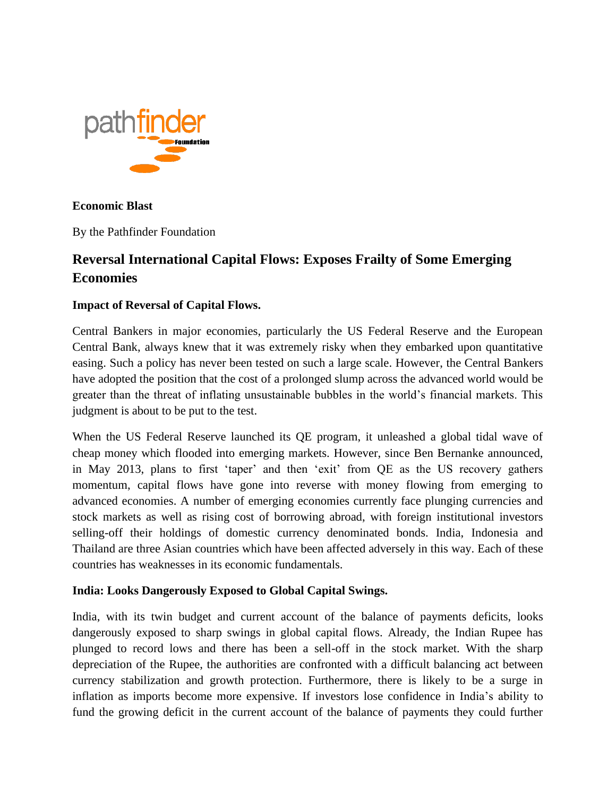

# **Economic Blast**

By the Pathfinder Foundation

# **Reversal International Capital Flows: Exposes Frailty of Some Emerging Economies**

# **Impact of Reversal of Capital Flows.**

Central Bankers in major economies, particularly the US Federal Reserve and the European Central Bank, always knew that it was extremely risky when they embarked upon quantitative easing. Such a policy has never been tested on such a large scale. However, the Central Bankers have adopted the position that the cost of a prolonged slump across the advanced world would be greater than the threat of inflating unsustainable bubbles in the world's financial markets. This judgment is about to be put to the test.

When the US Federal Reserve launched its QE program, it unleashed a global tidal wave of cheap money which flooded into emerging markets. However, since Ben Bernanke announced, in May 2013, plans to first 'taper' and then 'exit' from QE as the US recovery gathers momentum, capital flows have gone into reverse with money flowing from emerging to advanced economies. A number of emerging economies currently face plunging currencies and stock markets as well as rising cost of borrowing abroad, with foreign institutional investors selling-off their holdings of domestic currency denominated bonds. India, Indonesia and Thailand are three Asian countries which have been affected adversely in this way. Each of these countries has weaknesses in its economic fundamentals.

# **India: Looks Dangerously Exposed to Global Capital Swings.**

India, with its twin budget and current account of the balance of payments deficits, looks dangerously exposed to sharp swings in global capital flows. Already, the Indian Rupee has plunged to record lows and there has been a sell-off in the stock market. With the sharp depreciation of the Rupee, the authorities are confronted with a difficult balancing act between currency stabilization and growth protection. Furthermore, there is likely to be a surge in inflation as imports become more expensive. If investors lose confidence in India's ability to fund the growing deficit in the current account of the balance of payments they could further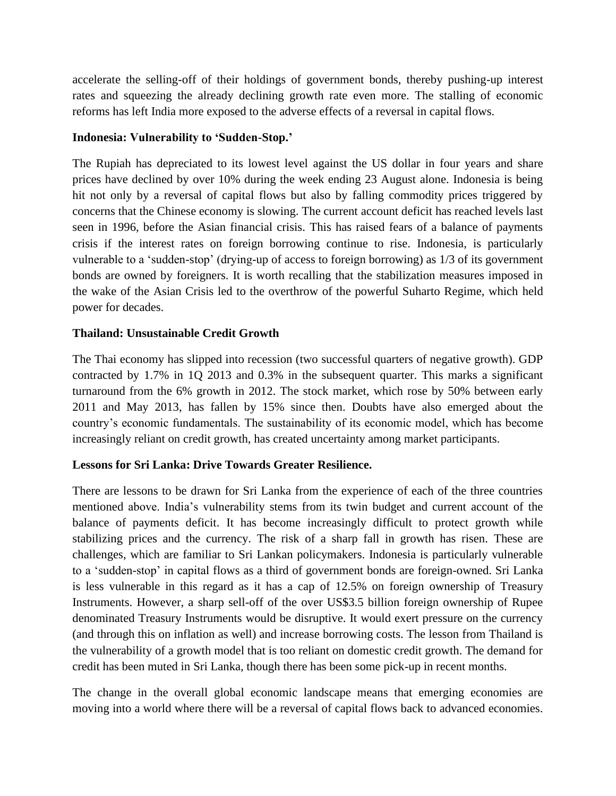accelerate the selling-off of their holdings of government bonds, thereby pushing-up interest rates and squeezing the already declining growth rate even more. The stalling of economic reforms has left India more exposed to the adverse effects of a reversal in capital flows.

### **Indonesia: Vulnerability to 'Sudden-Stop.'**

The Rupiah has depreciated to its lowest level against the US dollar in four years and share prices have declined by over 10% during the week ending 23 August alone. Indonesia is being hit not only by a reversal of capital flows but also by falling commodity prices triggered by concerns that the Chinese economy is slowing. The current account deficit has reached levels last seen in 1996, before the Asian financial crisis. This has raised fears of a balance of payments crisis if the interest rates on foreign borrowing continue to rise. Indonesia, is particularly vulnerable to a 'sudden-stop' (drying-up of access to foreign borrowing) as 1/3 of its government bonds are owned by foreigners. It is worth recalling that the stabilization measures imposed in the wake of the Asian Crisis led to the overthrow of the powerful Suharto Regime, which held power for decades.

#### **Thailand: Unsustainable Credit Growth**

The Thai economy has slipped into recession (two successful quarters of negative growth). GDP contracted by 1.7% in 1Q 2013 and 0.3% in the subsequent quarter. This marks a significant turnaround from the 6% growth in 2012. The stock market, which rose by 50% between early 2011 and May 2013, has fallen by 15% since then. Doubts have also emerged about the country's economic fundamentals. The sustainability of its economic model, which has become increasingly reliant on credit growth, has created uncertainty among market participants.

#### **Lessons for Sri Lanka: Drive Towards Greater Resilience.**

There are lessons to be drawn for Sri Lanka from the experience of each of the three countries mentioned above. India's vulnerability stems from its twin budget and current account of the balance of payments deficit. It has become increasingly difficult to protect growth while stabilizing prices and the currency. The risk of a sharp fall in growth has risen. These are challenges, which are familiar to Sri Lankan policymakers. Indonesia is particularly vulnerable to a 'sudden-stop' in capital flows as a third of government bonds are foreign-owned. Sri Lanka is less vulnerable in this regard as it has a cap of 12.5% on foreign ownership of Treasury Instruments. However, a sharp sell-off of the over US\$3.5 billion foreign ownership of Rupee denominated Treasury Instruments would be disruptive. It would exert pressure on the currency (and through this on inflation as well) and increase borrowing costs. The lesson from Thailand is the vulnerability of a growth model that is too reliant on domestic credit growth. The demand for credit has been muted in Sri Lanka, though there has been some pick-up in recent months.

The change in the overall global economic landscape means that emerging economies are moving into a world where there will be a reversal of capital flows back to advanced economies.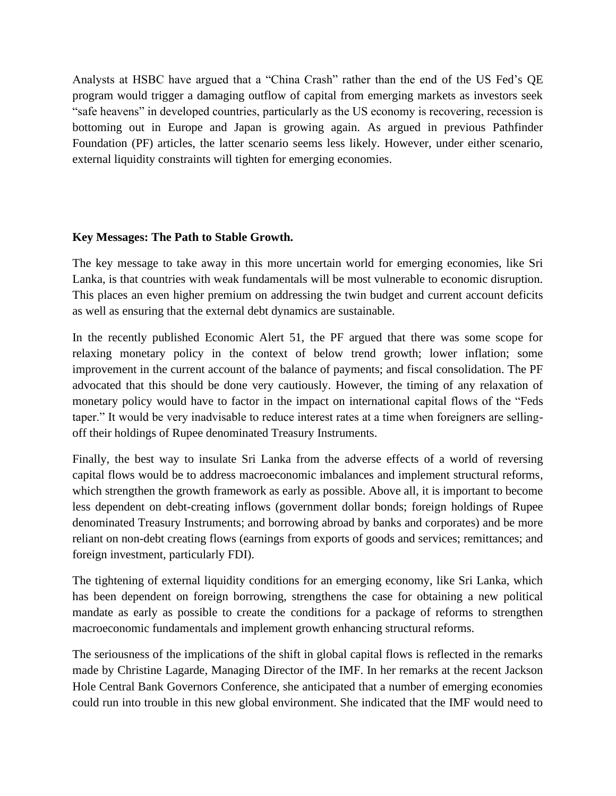Analysts at HSBC have argued that a "China Crash" rather than the end of the US Fed's QE program would trigger a damaging outflow of capital from emerging markets as investors seek "safe heavens" in developed countries, particularly as the US economy is recovering, recession is bottoming out in Europe and Japan is growing again. As argued in previous Pathfinder Foundation (PF) articles, the latter scenario seems less likely. However, under either scenario, external liquidity constraints will tighten for emerging economies.

#### **Key Messages: The Path to Stable Growth.**

The key message to take away in this more uncertain world for emerging economies, like Sri Lanka, is that countries with weak fundamentals will be most vulnerable to economic disruption. This places an even higher premium on addressing the twin budget and current account deficits as well as ensuring that the external debt dynamics are sustainable.

In the recently published Economic Alert 51, the PF argued that there was some scope for relaxing monetary policy in the context of below trend growth; lower inflation; some improvement in the current account of the balance of payments; and fiscal consolidation. The PF advocated that this should be done very cautiously. However, the timing of any relaxation of monetary policy would have to factor in the impact on international capital flows of the "Feds taper." It would be very inadvisable to reduce interest rates at a time when foreigners are sellingoff their holdings of Rupee denominated Treasury Instruments.

Finally, the best way to insulate Sri Lanka from the adverse effects of a world of reversing capital flows would be to address macroeconomic imbalances and implement structural reforms, which strengthen the growth framework as early as possible. Above all, it is important to become less dependent on debt-creating inflows (government dollar bonds; foreign holdings of Rupee denominated Treasury Instruments; and borrowing abroad by banks and corporates) and be more reliant on non-debt creating flows (earnings from exports of goods and services; remittances; and foreign investment, particularly FDI).

The tightening of external liquidity conditions for an emerging economy, like Sri Lanka, which has been dependent on foreign borrowing, strengthens the case for obtaining a new political mandate as early as possible to create the conditions for a package of reforms to strengthen macroeconomic fundamentals and implement growth enhancing structural reforms.

The seriousness of the implications of the shift in global capital flows is reflected in the remarks made by Christine Lagarde, Managing Director of the IMF. In her remarks at the recent Jackson Hole Central Bank Governors Conference, she anticipated that a number of emerging economies could run into trouble in this new global environment. She indicated that the IMF would need to